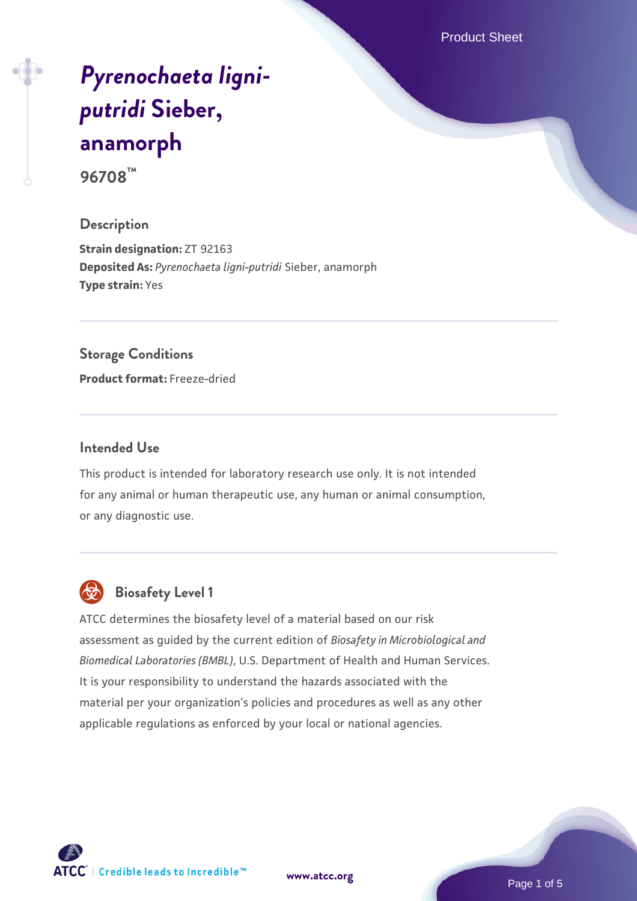Product Sheet

# *[Pyrenochaeta ligni](https://www.atcc.org/products/96708)[putridi](https://www.atcc.org/products/96708)* **[Sieber,](https://www.atcc.org/products/96708) [anamorph](https://www.atcc.org/products/96708) 96708™**

# **Description**

**Strain designation:** ZT 92163 **Deposited As:** *Pyrenochaeta ligni-putridi* Sieber, anamorph **Type strain:** Yes

# **Storage Conditions**

**Product format:** Freeze-dried

## **Intended Use**

This product is intended for laboratory research use only. It is not intended for any animal or human therapeutic use, any human or animal consumption, or any diagnostic use.



# **Biosafety Level 1**

ATCC determines the biosafety level of a material based on our risk assessment as guided by the current edition of *Biosafety in Microbiological and Biomedical Laboratories (BMBL)*, U.S. Department of Health and Human Services. It is your responsibility to understand the hazards associated with the material per your organization's policies and procedures as well as any other applicable regulations as enforced by your local or national agencies.

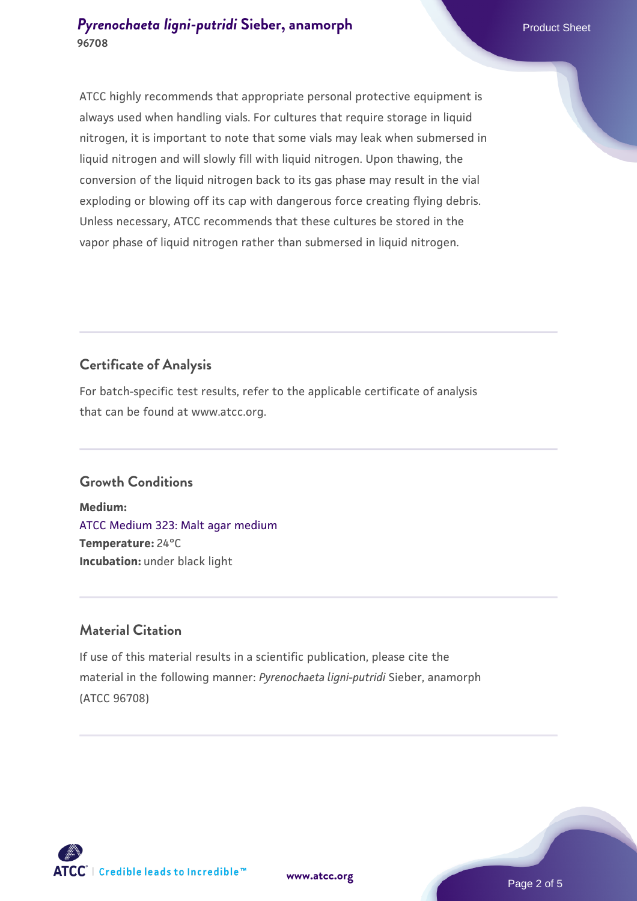ATCC highly recommends that appropriate personal protective equipment is always used when handling vials. For cultures that require storage in liquid nitrogen, it is important to note that some vials may leak when submersed in liquid nitrogen and will slowly fill with liquid nitrogen. Upon thawing, the conversion of the liquid nitrogen back to its gas phase may result in the vial exploding or blowing off its cap with dangerous force creating flying debris. Unless necessary, ATCC recommends that these cultures be stored in the vapor phase of liquid nitrogen rather than submersed in liquid nitrogen.

# **Certificate of Analysis**

For batch-specific test results, refer to the applicable certificate of analysis that can be found at www.atcc.org.

# **Growth Conditions**

**Medium:**  [ATCC Medium 323: Malt agar medium](https://www.atcc.org/-/media/product-assets/documents/microbial-media-formulations/3/2/3/atcc-medium-323.pdf?rev=58d6457ee20149d7a1c844947569ef92) **Temperature:** 24°C **Incubation:** under black light

# **Material Citation**

If use of this material results in a scientific publication, please cite the material in the following manner: *Pyrenochaeta ligni-putridi* Sieber, anamorph (ATCC 96708)

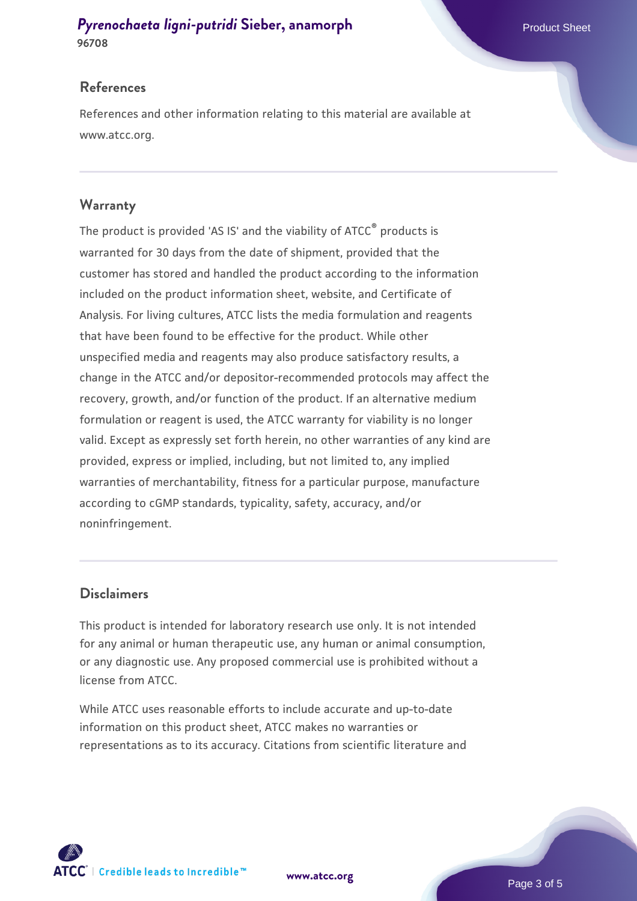# **References**

References and other information relating to this material are available at www.atcc.org.

# **Warranty**

The product is provided 'AS IS' and the viability of ATCC® products is warranted for 30 days from the date of shipment, provided that the customer has stored and handled the product according to the information included on the product information sheet, website, and Certificate of Analysis. For living cultures, ATCC lists the media formulation and reagents that have been found to be effective for the product. While other unspecified media and reagents may also produce satisfactory results, a change in the ATCC and/or depositor-recommended protocols may affect the recovery, growth, and/or function of the product. If an alternative medium formulation or reagent is used, the ATCC warranty for viability is no longer valid. Except as expressly set forth herein, no other warranties of any kind are provided, express or implied, including, but not limited to, any implied warranties of merchantability, fitness for a particular purpose, manufacture according to cGMP standards, typicality, safety, accuracy, and/or noninfringement.

# **Disclaimers**

This product is intended for laboratory research use only. It is not intended for any animal or human therapeutic use, any human or animal consumption, or any diagnostic use. Any proposed commercial use is prohibited without a license from ATCC.

While ATCC uses reasonable efforts to include accurate and up-to-date information on this product sheet, ATCC makes no warranties or representations as to its accuracy. Citations from scientific literature and

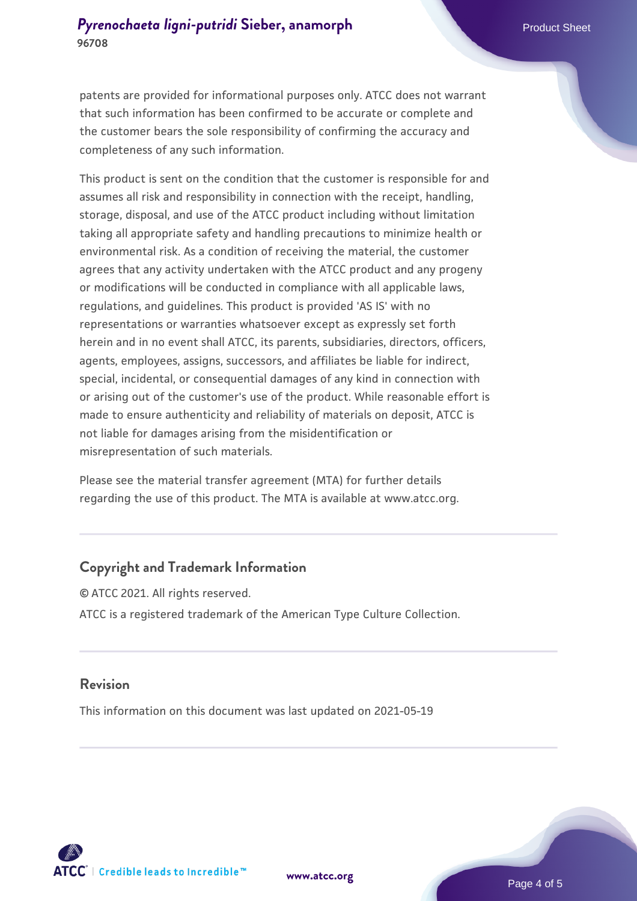patents are provided for informational purposes only. ATCC does not warrant that such information has been confirmed to be accurate or complete and the customer bears the sole responsibility of confirming the accuracy and completeness of any such information.

This product is sent on the condition that the customer is responsible for and assumes all risk and responsibility in connection with the receipt, handling, storage, disposal, and use of the ATCC product including without limitation taking all appropriate safety and handling precautions to minimize health or environmental risk. As a condition of receiving the material, the customer agrees that any activity undertaken with the ATCC product and any progeny or modifications will be conducted in compliance with all applicable laws, regulations, and guidelines. This product is provided 'AS IS' with no representations or warranties whatsoever except as expressly set forth herein and in no event shall ATCC, its parents, subsidiaries, directors, officers, agents, employees, assigns, successors, and affiliates be liable for indirect, special, incidental, or consequential damages of any kind in connection with or arising out of the customer's use of the product. While reasonable effort is made to ensure authenticity and reliability of materials on deposit, ATCC is not liable for damages arising from the misidentification or misrepresentation of such materials.

Please see the material transfer agreement (MTA) for further details regarding the use of this product. The MTA is available at www.atcc.org.

#### **Copyright and Trademark Information**

© ATCC 2021. All rights reserved. ATCC is a registered trademark of the American Type Culture Collection.

#### **Revision**

This information on this document was last updated on 2021-05-19